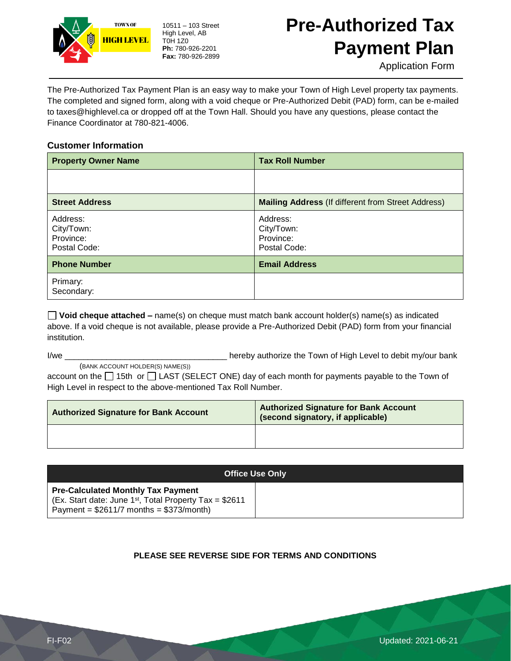

10511 – 103 Street High Level, AB T0H 1Z0 **Ph:** 780-926-2201 **Fax:** 780-926-2899

# **Pre-Authorized Tax Payment Plan**

Application Form

The Pre-Authorized Tax Payment Plan is an easy way to make your Town of High Level property tax payments. The completed and signed form, along with a void cheque or Pre-Authorized Debit (PAD) form, can be e-mailed to taxes@highlevel.ca or dropped off at the Town Hall. Should you have any questions, please contact the Finance Coordinator at 780-821-4006.

### **Customer Information**

| <b>Property Owner Name</b>                          | <b>Tax Roll Number</b>                                    |
|-----------------------------------------------------|-----------------------------------------------------------|
|                                                     |                                                           |
| <b>Street Address</b>                               | <b>Mailing Address (If different from Street Address)</b> |
| Address:<br>City/Town:<br>Province:<br>Postal Code: | Address:<br>City/Town:<br>Province:<br>Postal Code:       |
| <b>Phone Number</b>                                 | <b>Email Address</b>                                      |
| Primary:<br>Secondary:                              |                                                           |

**Void cheque attached –** name(s) on cheque must match bank account holder(s) name(s) as indicated above. If a void cheque is not available, please provide a Pre-Authorized Debit (PAD) form from your financial institution.

I/we \_\_\_\_\_\_\_\_\_\_\_\_\_\_\_\_\_\_\_\_\_\_\_\_\_\_\_\_\_\_\_\_\_\_\_ hereby authorize the Town of High Level to debit my/our bank

(BANK ACCOUNT HOLDER(S) NAME(S))

account on the  $\Box$  15th or  $\Box$  LAST (SELECT ONE) day of each month for payments payable to the Town of High Level in respect to the above-mentioned Tax Roll Number.

| <b>Authorized Signature for Bank Account</b> | <b>Authorized Signature for Bank Account</b><br>(second signatory, if applicable) |
|----------------------------------------------|-----------------------------------------------------------------------------------|
|                                              |                                                                                   |

| <b>Office Use Only</b>                                                                                                                                           |  |
|------------------------------------------------------------------------------------------------------------------------------------------------------------------|--|
| <b>Pre-Calculated Monthly Tax Payment</b><br>(Ex. Start date: June 1 <sup>st</sup> , Total Property Tax = $$2611$<br>Payment = $$2611/7$ months = $$373/m$ onth) |  |

### **PLEASE SEE REVERSE SIDE FOR TERMS AND CONDITIONS**